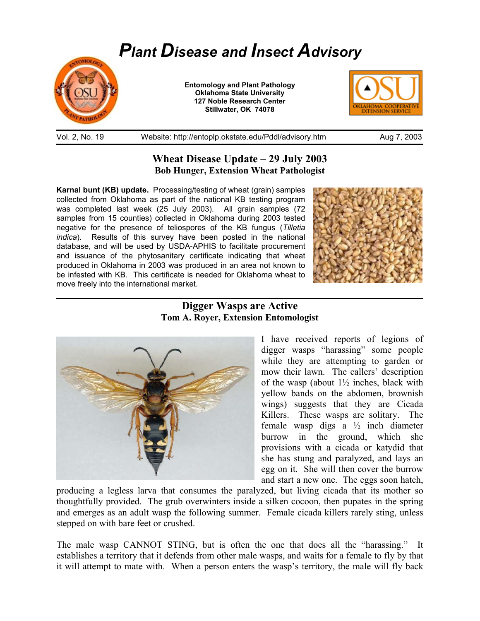## *Plant Disease and Insect Advisory*



 $\overline{a}$ 

**Entomology and Plant Pathology Oklahoma State University 127 Noble Research Center Stillwater, OK 74078** 



Vol. 2, No. 19 Website: http://entoplp.okstate.edu/Pddl/advisory.htm Aug 7, 2003

## **Wheat Disease Update – 29 July 2003 Bob Hunger, Extension Wheat Pathologist**

**Karnal bunt (KB) update.** Processing/testing of wheat (grain) samples collected from Oklahoma as part of the national KB testing program was completed last week (25 July 2003). All grain samples (72 samples from 15 counties) collected in Oklahoma during 2003 tested negative for the presence of teliospores of the KB fungus (*Tilletia indica*). Results of this survey have been posted in the national database, and will be used by USDA-APHIS to facilitate procurement and issuance of the phytosanitary certificate indicating that wheat produced in Oklahoma in 2003 was produced in an area not known to be infested with KB. This certificate is needed for Oklahoma wheat to move freely into the international market.



## **Digger Wasps are Active Tom A. Royer, Extension Entomologist**



I have received reports of legions of digger wasps "harassing" some people while they are attempting to garden or mow their lawn. The callers' description of the wasp (about  $1\frac{1}{2}$  inches, black with yellow bands on the abdomen, brownish wings) suggests that they are Cicada Killers. These wasps are solitary. The female wasp digs a ½ inch diameter burrow in the ground, which she provisions with a cicada or katydid that she has stung and paralyzed, and lays an egg on it. She will then cover the burrow and start a new one. The eggs soon hatch,

producing a legless larva that consumes the paralyzed, but living cicada that its mother so thoughtfully provided. The grub overwinters inside a silken cocoon, then pupates in the spring and emerges as an adult wasp the following summer. Female cicada killers rarely sting, unless stepped on with bare feet or crushed.

The male wasp CANNOT STING, but is often the one that does all the "harassing." It establishes a territory that it defends from other male wasps, and waits for a female to fly by that it will attempt to mate with. When a person enters the wasp's territory, the male will fly back